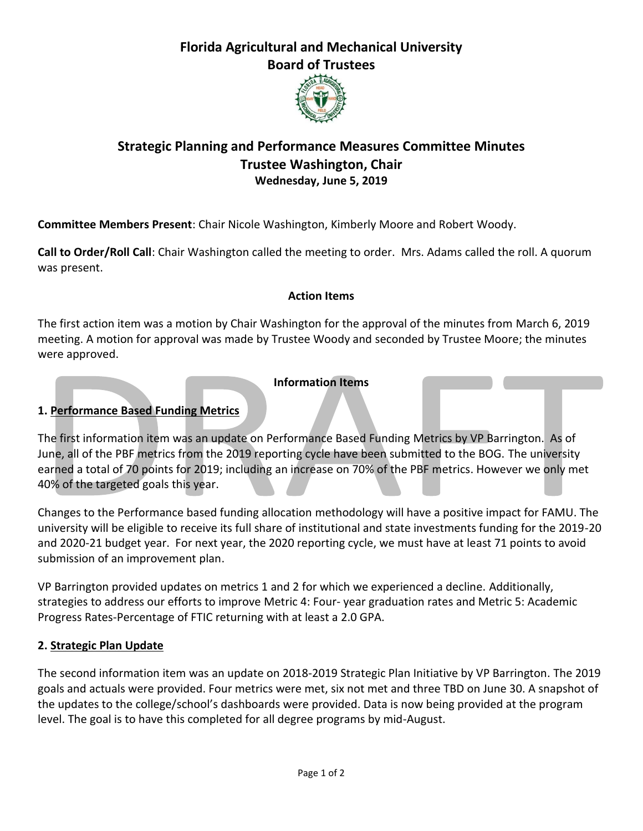# **Florida Agricultural and Mechanical University Board of Trustees**



## **Strategic Planning and Performance Measures Committee Minutes Trustee Washington, Chair Wednesday, June 5, 2019**

**Committee Members Present**: Chair Nicole Washington, Kimberly Moore and Robert Woody.

**Call to Order/Roll Call**: Chair Washington called the meeting to order. Mrs. Adams called the roll. A quorum was present.

#### **Action Items**

The first action item was a motion by Chair Washington for the approval of the minutes from March 6, 2019 meeting. A motion for approval was made by Trustee Woody and seconded by Trustee Moore; the minutes were approved.

#### **Information Items**

### **1. Performance Based Funding Metrics**

The first information item was an update on Performance Based Funding Metrics by VP Barrington. As of June, all of the PBF metrics from the 2019 reporting cycle have been submitted to the BOG. The university earned a total of 70 points for 2019; including an increase on 70% of the PBF metrics. However we only met 40% of the targeted goals this year.

Changes to the Performance based funding allocation methodology will have a positive impact for FAMU. The university will be eligible to receive its full share of institutional and state investments funding for the 2019-20 and 2020-21 budget year. For next year, the 2020 reporting cycle, we must have at least 71 points to avoid submission of an improvement plan.

VP Barrington provided updates on metrics 1 and 2 for which we experienced a decline. Additionally, strategies to address our efforts to improve Metric 4: Four- year graduation rates and Metric 5: Academic Progress Rates-Percentage of FTIC returning with at least a 2.0 GPA.

#### **2. Strategic Plan Update**

The second information item was an update on 2018-2019 Strategic Plan Initiative by VP Barrington. The 2019 goals and actuals were provided. Four metrics were met, six not met and three TBD on June 30. A snapshot of the updates to the college/school's dashboards were provided. Data is now being provided at the program level. The goal is to have this completed for all degree programs by mid-August.